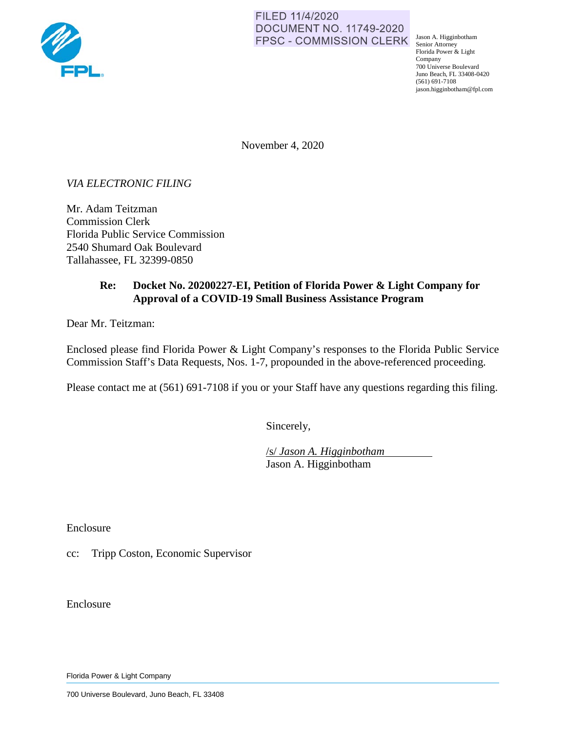

# FILED 11/4/2020 **DOCUMENT NO. 11749-2020**

Jason A. Higginbotham Senior Attorney Florida Power & Light Company 700 Universe Boulevard Juno Beach, FL 33408-0420 (561) 691-7108 jason.higginbotham@fpl.com

November 4, 2020

# *VIA ELECTRONIC FILING*

Mr. Adam Teitzman Commission Clerk Florida Public Service Commission 2540 Shumard Oak Boulevard Tallahassee, FL 32399-0850

## **Re: Docket No. 20200227-EI, Petition of Florida Power & Light Company for Approval of a COVID-19 Small Business Assistance Program**

Dear Mr. Teitzman:

Enclosed please find Florida Power & Light Company's responses to the Florida Public Service Commission Staff's Data Requests, Nos. 1-7, propounded in the above-referenced proceeding.

Please contact me at (561) 691-7108 if you or your Staff have any questions regarding this filing.

Sincerely,

 /s/ *Jason A. Higginbotham*  Jason A. Higginbotham

Enclosure

cc: Tripp Coston, Economic Supervisor

Enclosure

Florida Power & Light Company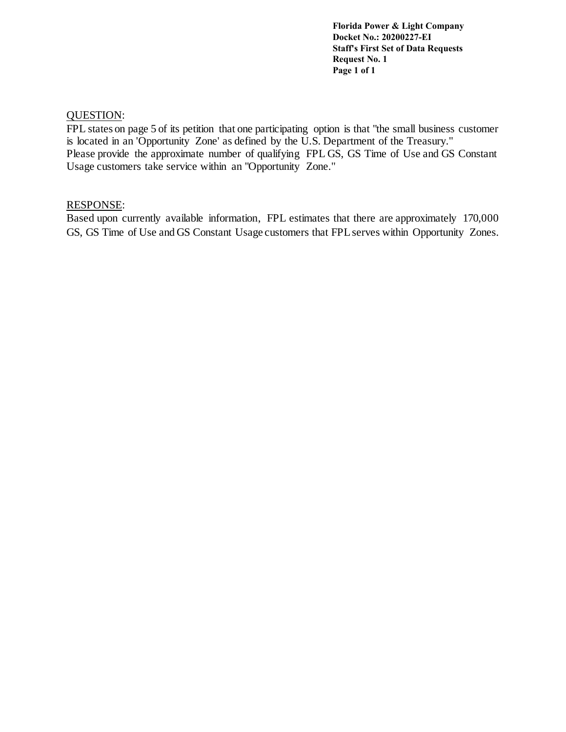**Florida Power & Light Company Docket No.: 20200227-EI Staff's First Set of Data Requests Request No. 1 Page 1 of 1** 

#### QUESTION:

FPL states on page 5 of its petition that one participating option is that "the small business customer is located in an 'Opportunity Zone' as defined by the U.S. Department of the Treasury." Please provide the approximate number of qualifying FPL GS, GS Time of Use and GS Constant Usage customers take service within an "Opportunity Zone."

## RESPONSE:

Based upon currently available information, FPL estimates that there are approximately 170,000 GS, GS Time of Use and GS Constant Usage customers that FPL serves within Opportunity Zones.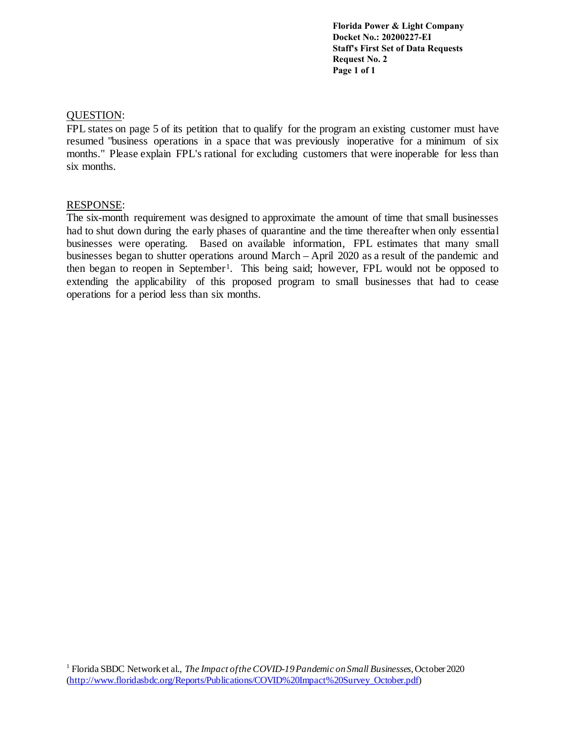**Florida Power & Light Company Docket No.: 20200227-EI Staff's First Set of Data Requests Request No. 2 Page 1 of 1** 

#### QUESTION:

FPL states on page 5 of its petition that to qualify for the program an existing customer must have resumed "business operations in a space that was previously inoperative for a minimum of six months." Please explain FPL's rational for excluding customers that were inoperable for less than six months.

#### RESPONSE:

<span id="page-2-0"></span>The six-month requirement was designed to approximate the amount of time that small businesses had to shut down during the early phases of quarantine and the time thereafter when only essential businesses were operating. Based on available information, FPL estimates that many small businesses began to shutter operations around March – April 2020 as a result of the pandemic and then began to reopen in September[1.](#page-2-0) This being said; however, FPL would not be opposed to extending the applicability of this proposed program to small businesses that had to cease operations for a period less than six months.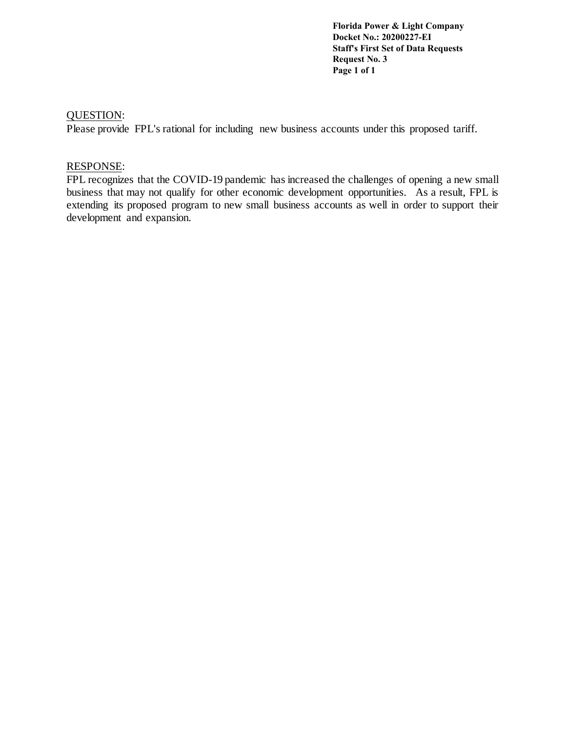**Florida Power & Light Company Docket No.: 20200227-EI Staff's First Set of Data Requests Request No. 3 Page 1 of 1** 

## QUESTION:

Please provide FPL's rational for including new business accounts under this proposed tariff.

## RESPONSE:

FPL recognizes that the COVID-19 pandemic has increased the challenges of opening a new small business that may not qualify for other economic development opportunities. As a result, FPL is extending its proposed program to new small business accounts as well in order to support their development and expansion.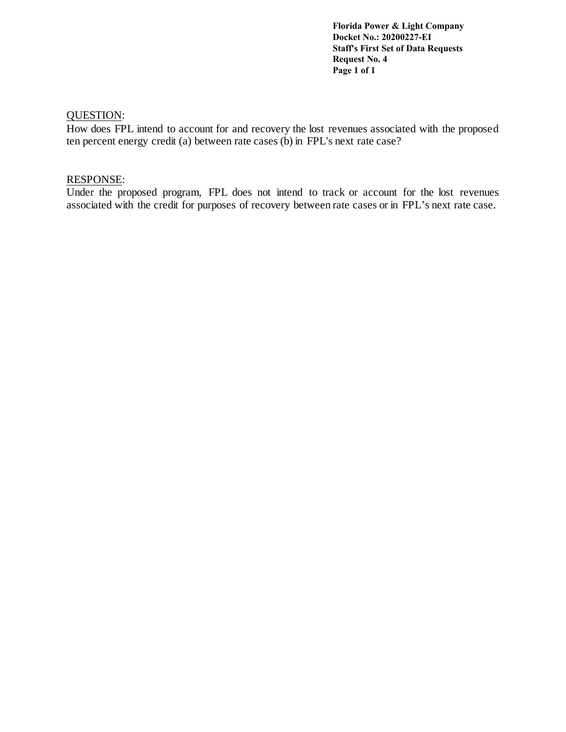**Florida Power & Light Company Docket No.: 20200227-EI Staff's First Set of Data Requests Request No. 4 Page 1 of 1** 

# QUESTION:

How does FPL intend to account for and recovery the lost revenues associated with the proposed ten percent energy credit (a) between rate cases (b) in FPL's next rate case?

## RESPONSE:

Under the proposed program, FPL does not intend to track or account for the lost revenues associated with the credit for purposes of recovery between rate cases or in FPL's next rate case.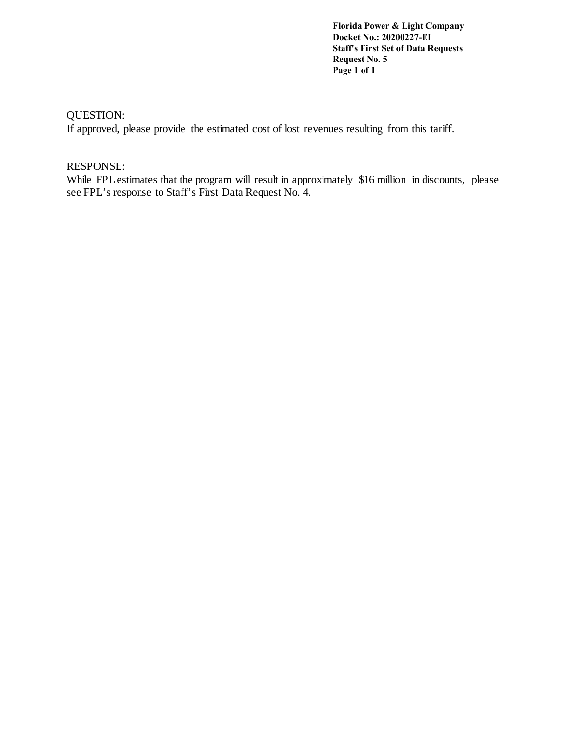**Florida Power & Light Company Docket No.: 20200227-EI Staff's First Set of Data Requests Request No. 5 Page 1 of 1** 

# QUESTION:

If approved, please provide the estimated cost of lost revenues resulting from this tariff.

## RESPONSE:

While FPL estimates that the program will result in approximately \$16 million in discounts, please see FPL's response to Staff's First Data Request No. 4.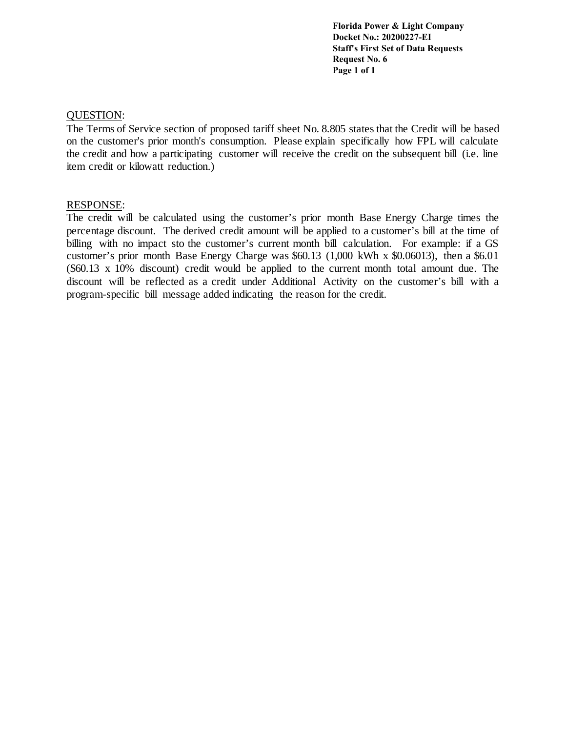**Florida Power & Light Company Docket No.: 20200227-EI Staff's First Set of Data Requests Request No. 6 Page 1 of 1** 

## QUESTION:

The Terms of Service section of proposed tariff sheet No. 8.805 states that the Credit will be based on the customer's prior month's consumption. Please explain specifically how FPL will calculate the credit and how a participating customer will receive the credit on the subsequent bill (i.e. line item credit or kilowatt reduction.)

## RESPONSE:

The credit will be calculated using the customer's prior month Base Energy Charge times the percentage discount. The derived credit amount will be applied to a customer's bill at the time of billing with no impact sto the customer's current month bill calculation. For example: if a GS customer's prior month Base Energy Charge was \$60.13 (1,000 kWh x \$0.06013), then a \$6.01 (\$60.13 x 10% discount) credit would be applied to the current month total amount due. The discount will be reflected as a credit under Additional Activity on the customer's bill with a program-specific bill message added indicating the reason for the credit.